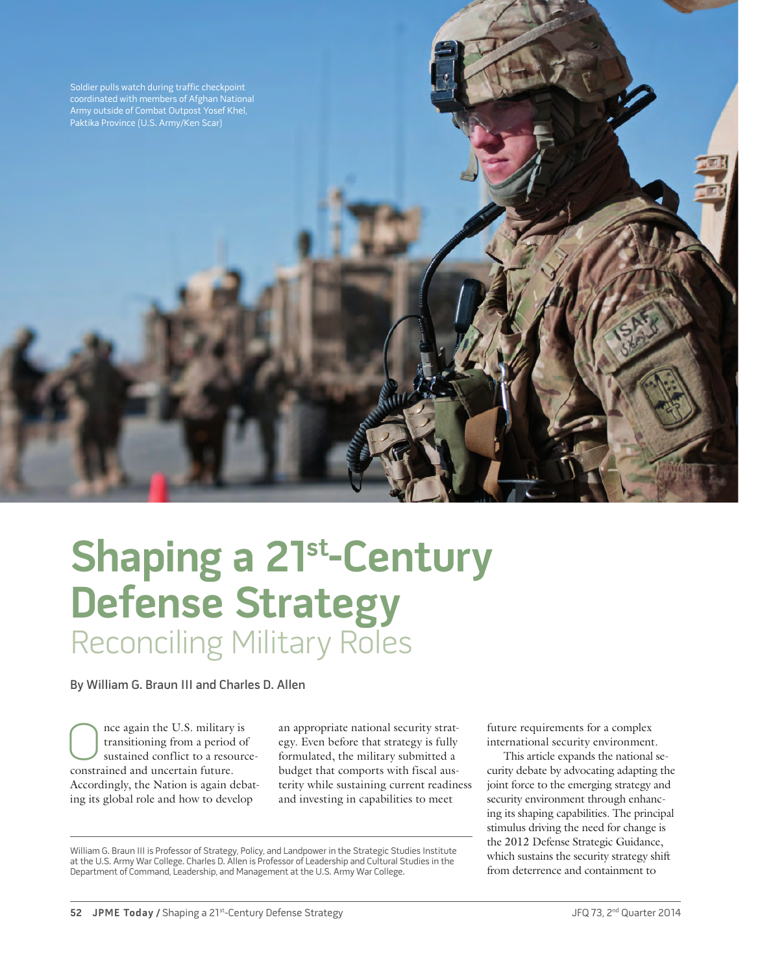

# **Shaping a 21st-Century Defense Strategy** Reconciling Military Roles

By William G. Braun III and Charles D. Allen

Once again the U.S. military is<br>transitioning from a period of<br>sustained conflict to a resource<br>constrained and uncertain future transitioning from a period of sustained conflict to a resourceconstrained and uncertain future. Accordingly, the Nation is again debating its global role and how to develop

an appropriate national security strategy. Even before that strategy is fully formulated, the military submitted a budget that comports with fiscal austerity while sustaining current readiness and investing in capabilities to meet

William G. Braun III is Professor of Strategy, Policy, and Landpower in the Strategic Studies Institute at the U.S. Army War College. Charles D. Allen is Professor of Leadership and Cultural Studies in the Department of Command, Leadership, and Management at the U.S. Army War College.

future requirements for a complex international security environment.

This article expands the national security debate by advocating adapting the joint force to the emerging strategy and security environment through enhancing its shaping capabilities. The principal stimulus driving the need for change is the 2012 Defense Strategic Guidance, which sustains the security strategy shift from deterrence and containment to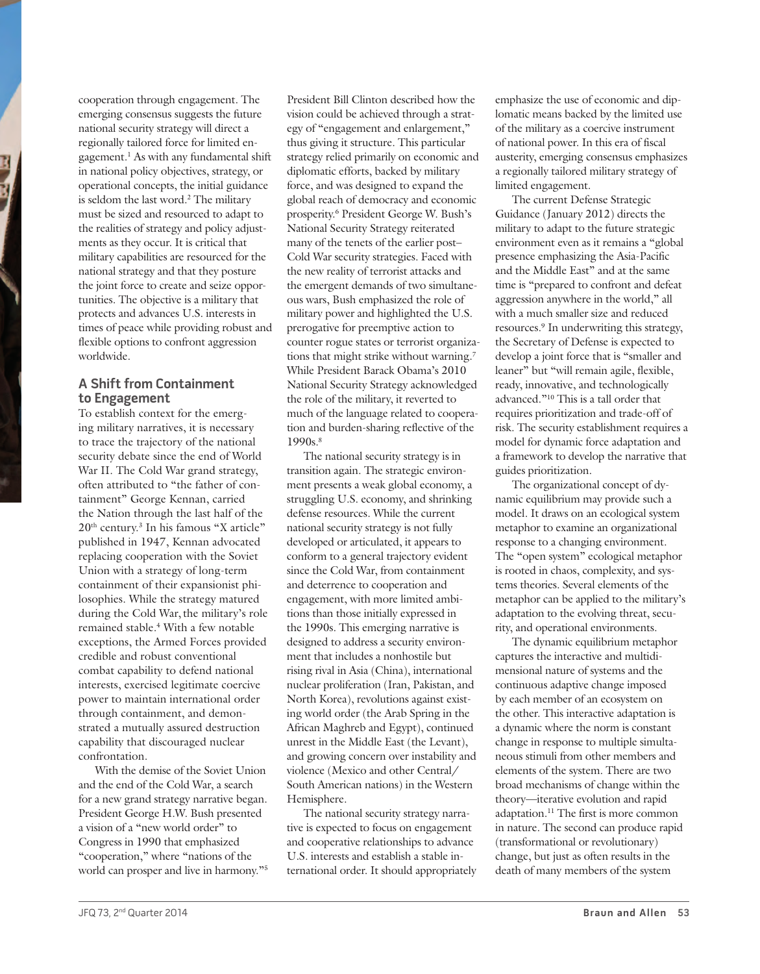cooperation through engagement. The emerging consensus suggests the future national security strategy will direct a regionally tailored force for limited engagement.<sup>1</sup> As with any fundamental shift in national policy objectives, strategy, or operational concepts, the initial guidance is seldom the last word.<sup>2</sup> The military must be sized and resourced to adapt to the realities of strategy and policy adjustments as they occur. It is critical that military capabilities are resourced for the national strategy and that they posture the joint force to create and seize opportunities. The objective is a military that protects and advances U.S. interests in times of peace while providing robust and flexible options to confront aggression worldwide.

## **A Shift from Containment to Engagement**

To establish context for the emerging military narratives, it is necessary to trace the trajectory of the national security debate since the end of World War II. The Cold War grand strategy, often attributed to "the father of containment" George Kennan, carried the Nation through the last half of the 20<sup>th</sup> century.<sup>3</sup> In his famous "X article" published in 1947, Kennan advocated replacing cooperation with the Soviet Union with a strategy of long-term containment of their expansionist philosophies. While the strategy matured during the Cold War, the military's role remained stable.4 With a few notable exceptions, the Armed Forces provided credible and robust conventional combat capability to defend national interests, exercised legitimate coercive power to maintain international order through containment, and demonstrated a mutually assured destruction capability that discouraged nuclear confrontation.

With the demise of the Soviet Union and the end of the Cold War, a search for a new grand strategy narrative began. President George H.W. Bush presented a vision of a "new world order" to Congress in 1990 that emphasized "cooperation," where "nations of the world can prosper and live in harmony."5

President Bill Clinton described how the vision could be achieved through a strategy of "engagement and enlargement," thus giving it structure. This particular strategy relied primarily on economic and diplomatic efforts, backed by military force, and was designed to expand the global reach of democracy and economic prosperity.6 President George W. Bush's National Security Strategy reiterated many of the tenets of the earlier post– Cold War security strategies. Faced with the new reality of terrorist attacks and the emergent demands of two simultaneous wars, Bush emphasized the role of military power and highlighted the U.S. prerogative for preemptive action to counter rogue states or terrorist organizations that might strike without warning.7 While President Barack Obama's 2010 National Security Strategy acknowledged the role of the military, it reverted to much of the language related to cooperation and burden-sharing reflective of the 1990<sub>s.8</sub>

The national security strategy is in transition again. The strategic environment presents a weak global economy, a struggling U.S. economy, and shrinking defense resources. While the current national security strategy is not fully developed or articulated, it appears to conform to a general trajectory evident since the Cold War, from containment and deterrence to cooperation and engagement, with more limited ambitions than those initially expressed in the 1990s. This emerging narrative is designed to address a security environment that includes a nonhostile but rising rival in Asia (China), international nuclear proliferation (Iran, Pakistan, and North Korea), revolutions against existing world order (the Arab Spring in the African Maghreb and Egypt), continued unrest in the Middle East (the Levant), and growing concern over instability and violence (Mexico and other Central/ South American nations) in the Western Hemisphere.

The national security strategy narrative is expected to focus on engagement and cooperative relationships to advance U.S. interests and establish a stable international order. It should appropriately emphasize the use of economic and diplomatic means backed by the limited use of the military as a coercive instrument of national power. In this era of fiscal austerity, emerging consensus emphasizes a regionally tailored military strategy of limited engagement.

The current Defense Strategic Guidance (January 2012) directs the military to adapt to the future strategic environment even as it remains a "global presence emphasizing the Asia-Pacific and the Middle East" and at the same time is "prepared to confront and defeat aggression anywhere in the world," all with a much smaller size and reduced resources.9 In underwriting this strategy, the Secretary of Defense is expected to develop a joint force that is "smaller and leaner" but "will remain agile, flexible, ready, innovative, and technologically advanced."10 This is a tall order that requires prioritization and trade-off of risk. The security establishment requires a model for dynamic force adaptation and a framework to develop the narrative that guides prioritization.

The organizational concept of dynamic equilibrium may provide such a model. It draws on an ecological system metaphor to examine an organizational response to a changing environment. The "open system" ecological metaphor is rooted in chaos, complexity, and systems theories. Several elements of the metaphor can be applied to the military's adaptation to the evolving threat, security, and operational environments.

The dynamic equilibrium metaphor captures the interactive and multidimensional nature of systems and the continuous adaptive change imposed by each member of an ecosystem on the other. This interactive adaptation is a dynamic where the norm is constant change in response to multiple simultaneous stimuli from other members and elements of the system. There are two broad mechanisms of change within the theory—iterative evolution and rapid adaptation.11 The first is more common in nature. The second can produce rapid (transformational or revolutionary) change, but just as often results in the death of many members of the system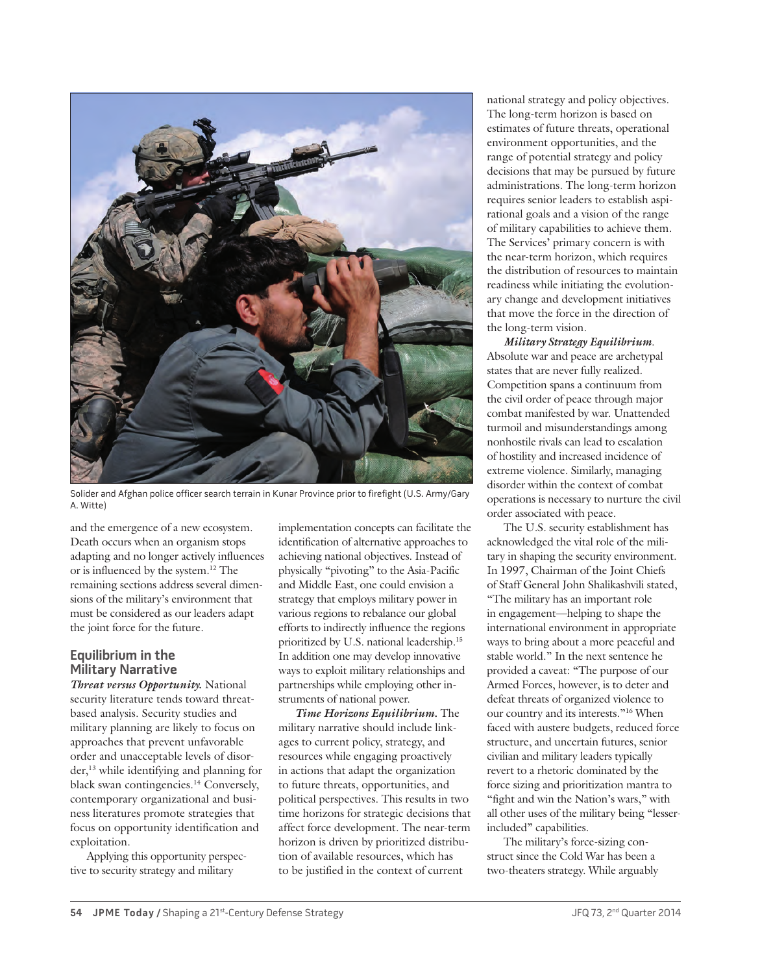

Solider and Afghan police officer search terrain in Kunar Province prior to firefight (U.S. Army/Gary A. Witte)

and the emergence of a new ecosystem. Death occurs when an organism stops adapting and no longer actively influences or is influenced by the system.12 The remaining sections address several dimensions of the military's environment that must be considered as our leaders adapt the joint force for the future.

# **Equilibrium in the Military Narrative**

*Threat versus Opportunity.* National security literature tends toward threatbased analysis. Security studies and military planning are likely to focus on approaches that prevent unfavorable order and unacceptable levels of disorder,13 while identifying and planning for black swan contingencies.14 Conversely, contemporary organizational and business literatures promote strategies that focus on opportunity identification and exploitation.

Applying this opportunity perspective to security strategy and military

implementation concepts can facilitate the identification of alternative approaches to achieving national objectives. Instead of physically "pivoting" to the Asia-Pacific and Middle East, one could envision a strategy that employs military power in various regions to rebalance our global efforts to indirectly influence the regions prioritized by U.S. national leadership.15 In addition one may develop innovative ways to exploit military relationships and partnerships while employing other instruments of national power.

*Time Horizons Equilibrium.* The military narrative should include linkages to current policy, strategy, and resources while engaging proactively in actions that adapt the organization to future threats, opportunities, and political perspectives. This results in two time horizons for strategic decisions that affect force development. The near-term horizon is driven by prioritized distribution of available resources, which has to be justified in the context of current

national strategy and policy objectives. The long-term horizon is based on estimates of future threats, operational environment opportunities, and the range of potential strategy and policy decisions that may be pursued by future administrations. The long-term horizon requires senior leaders to establish aspirational goals and a vision of the range of military capabilities to achieve them. The Services' primary concern is with the near-term horizon, which requires the distribution of resources to maintain readiness while initiating the evolutionary change and development initiatives that move the force in the direction of the long-term vision.

*Military Strategy Equilibrium*. Absolute war and peace are archetypal states that are never fully realized. Competition spans a continuum from the civil order of peace through major combat manifested by war. Unattended turmoil and misunderstandings among nonhostile rivals can lead to escalation of hostility and increased incidence of extreme violence. Similarly, managing disorder within the context of combat operations is necessary to nurture the civil order associated with peace.

The U.S. security establishment has acknowledged the vital role of the military in shaping the security environment. In 1997, Chairman of the Joint Chiefs of Staff General John Shalikashvili stated, "The military has an important role in engagement—helping to shape the international environment in appropriate ways to bring about a more peaceful and stable world." In the next sentence he provided a caveat: "The purpose of our Armed Forces, however, is to deter and defeat threats of organized violence to our country and its interests."16 When faced with austere budgets, reduced force structure, and uncertain futures, senior civilian and military leaders typically revert to a rhetoric dominated by the force sizing and prioritization mantra to "fight and win the Nation's wars," with all other uses of the military being "lesserincluded" capabilities.

The military's force-sizing construct since the Cold War has been a two-theaters strategy. While arguably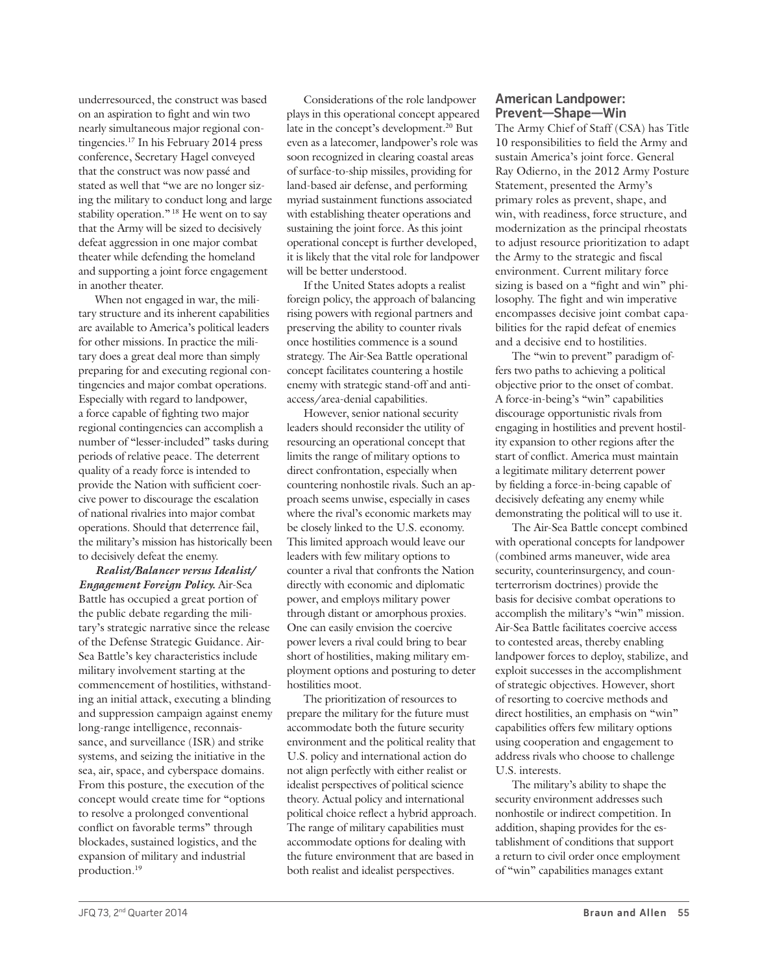underresourced, the construct was based on an aspiration to fight and win two nearly simultaneous major regional contingencies.17 In his February 2014 press conference, Secretary Hagel conveyed that the construct was now passé and stated as well that "we are no longer sizing the military to conduct long and large stability operation."<sup>18</sup> He went on to say that the Army will be sized to decisively defeat aggression in one major combat theater while defending the homeland and supporting a joint force engagement in another theater.

When not engaged in war, the military structure and its inherent capabilities are available to America's political leaders for other missions. In practice the military does a great deal more than simply preparing for and executing regional contingencies and major combat operations. Especially with regard to landpower, a force capable of fighting two major regional contingencies can accomplish a number of "lesser-included" tasks during periods of relative peace. The deterrent quality of a ready force is intended to provide the Nation with sufficient coercive power to discourage the escalation of national rivalries into major combat operations. Should that deterrence fail, the military's mission has historically been to decisively defeat the enemy.

*Realist/Balancer versus Idealist/ Engagement Foreign Policy.* Air-Sea Battle has occupied a great portion of the public debate regarding the military's strategic narrative since the release of the Defense Strategic Guidance. Air-Sea Battle's key characteristics include military involvement starting at the commencement of hostilities, withstanding an initial attack, executing a blinding and suppression campaign against enemy long-range intelligence, reconnaissance, and surveillance (ISR) and strike systems, and seizing the initiative in the sea, air, space, and cyberspace domains. From this posture, the execution of the concept would create time for "options to resolve a prolonged conventional conflict on favorable terms" through blockades, sustained logistics, and the expansion of military and industrial production.19

Considerations of the role landpower plays in this operational concept appeared late in the concept's development.<sup>20</sup> But even as a latecomer, landpower's role was soon recognized in clearing coastal areas of surface-to-ship missiles, providing for land-based air defense, and performing myriad sustainment functions associated with establishing theater operations and sustaining the joint force. As this joint operational concept is further developed, it is likely that the vital role for landpower will be better understood.

If the United States adopts a realist foreign policy, the approach of balancing rising powers with regional partners and preserving the ability to counter rivals once hostilities commence is a sound strategy. The Air-Sea Battle operational concept facilitates countering a hostile enemy with strategic stand-off and antiaccess/area-denial capabilities.

However, senior national security leaders should reconsider the utility of resourcing an operational concept that limits the range of military options to direct confrontation, especially when countering nonhostile rivals. Such an approach seems unwise, especially in cases where the rival's economic markets may be closely linked to the U.S. economy. This limited approach would leave our leaders with few military options to counter a rival that confronts the Nation directly with economic and diplomatic power, and employs military power through distant or amorphous proxies. One can easily envision the coercive power levers a rival could bring to bear short of hostilities, making military employment options and posturing to deter hostilities moot.

The prioritization of resources to prepare the military for the future must accommodate both the future security environment and the political reality that U.S. policy and international action do not align perfectly with either realist or idealist perspectives of political science theory. Actual policy and international political choice reflect a hybrid approach. The range of military capabilities must accommodate options for dealing with the future environment that are based in both realist and idealist perspectives.

### **American Landpower: Prevent—Shape—Win**

The Army Chief of Staff (CSA) has Title 10 responsibilities to field the Army and sustain America's joint force. General Ray Odierno, in the 2012 Army Posture Statement, presented the Army's primary roles as prevent, shape, and win, with readiness, force structure, and modernization as the principal rheostats to adjust resource prioritization to adapt the Army to the strategic and fiscal environment. Current military force sizing is based on a "fight and win" philosophy. The fight and win imperative encompasses decisive joint combat capabilities for the rapid defeat of enemies and a decisive end to hostilities.

The "win to prevent" paradigm offers two paths to achieving a political objective prior to the onset of combat. A force-in-being's "win" capabilities discourage opportunistic rivals from engaging in hostilities and prevent hostility expansion to other regions after the start of conflict. America must maintain a legitimate military deterrent power by fielding a force-in-being capable of decisively defeating any enemy while demonstrating the political will to use it.

The Air-Sea Battle concept combined with operational concepts for landpower (combined arms maneuver, wide area security, counterinsurgency, and counterterrorism doctrines) provide the basis for decisive combat operations to accomplish the military's "win" mission. Air-Sea Battle facilitates coercive access to contested areas, thereby enabling landpower forces to deploy, stabilize, and exploit successes in the accomplishment of strategic objectives. However, short of resorting to coercive methods and direct hostilities, an emphasis on "win" capabilities offers few military options using cooperation and engagement to address rivals who choose to challenge U.S. interests.

The military's ability to shape the security environment addresses such nonhostile or indirect competition. In addition, shaping provides for the establishment of conditions that support a return to civil order once employment of "win" capabilities manages extant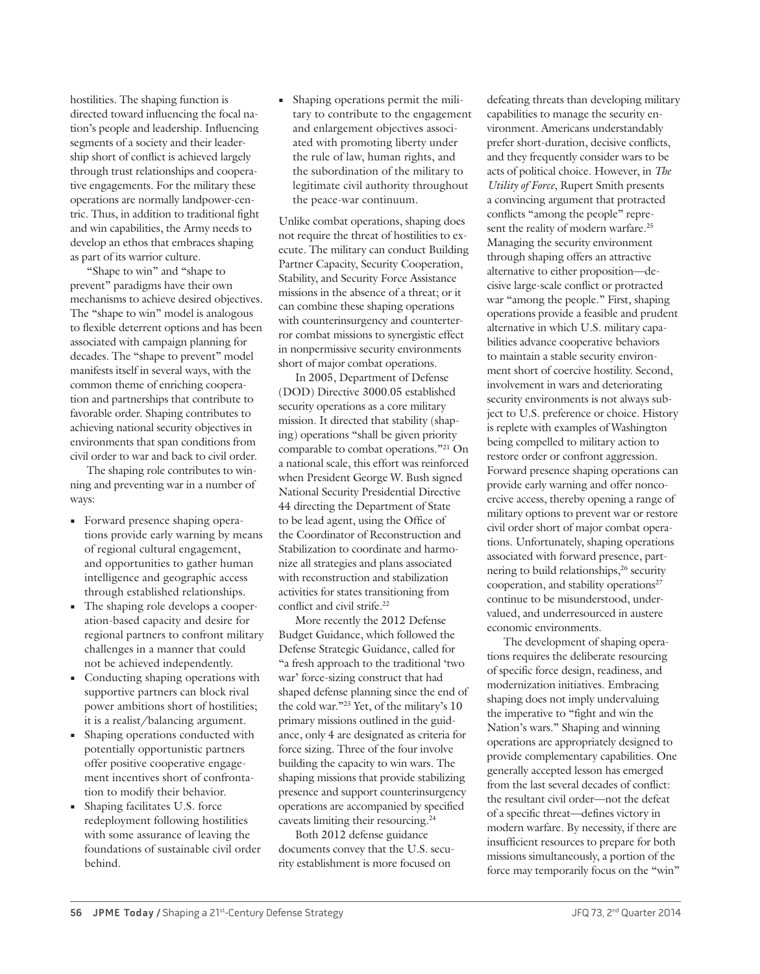hostilities. The shaping function is directed toward influencing the focal nation's people and leadership. Influencing segments of a society and their leadership short of conflict is achieved largely through trust relationships and cooperative engagements. For the military these operations are normally landpower-centric. Thus, in addition to traditional fight and win capabilities, the Army needs to develop an ethos that embraces shaping as part of its warrior culture.

"Shape to win" and "shape to prevent" paradigms have their own mechanisms to achieve desired objectives. The "shape to win" model is analogous to flexible deterrent options and has been associated with campaign planning for decades. The "shape to prevent" model manifests itself in several ways, with the common theme of enriching cooperation and partnerships that contribute to favorable order. Shaping contributes to achieving national security objectives in environments that span conditions from civil order to war and back to civil order.

The shaping role contributes to winning and preventing war in a number of ways:

- **•** Forward presence shaping operations provide early warning by means of regional cultural engagement, and opportunities to gather human intelligence and geographic access through established relationships.
- **•** The shaping role develops a cooperation-based capacity and desire for regional partners to confront military challenges in a manner that could not be achieved independently.
- **•** Conducting shaping operations with supportive partners can block rival power ambitions short of hostilities; it is a realist/balancing argument.
- **•** Shaping operations conducted with potentially opportunistic partners offer positive cooperative engagement incentives short of confrontation to modify their behavior.
- **•** Shaping facilitates U.S. force redeployment following hostilities with some assurance of leaving the foundations of sustainable civil order behind.

**•** Shaping operations permit the military to contribute to the engagement and enlargement objectives associated with promoting liberty under the rule of law, human rights, and the subordination of the military to legitimate civil authority throughout the peace-war continuum.

Unlike combat operations, shaping does not require the threat of hostilities to execute. The military can conduct Building Partner Capacity, Security Cooperation, Stability, and Security Force Assistance missions in the absence of a threat; or it can combine these shaping operations with counterinsurgency and counterterror combat missions to synergistic effect in nonpermissive security environments short of major combat operations.

In 2005, Department of Defense (DOD) Directive 3000.05 established security operations as a core military mission. It directed that stability (shaping) operations "shall be given priority comparable to combat operations."21 On a national scale, this effort was reinforced when President George W. Bush signed National Security Presidential Directive 44 directing the Department of State to be lead agent, using the Office of the Coordinator of Reconstruction and Stabilization to coordinate and harmonize all strategies and plans associated with reconstruction and stabilization activities for states transitioning from conflict and civil strife.<sup>22</sup>

More recently the 2012 Defense Budget Guidance, which followed the Defense Strategic Guidance, called for "a fresh approach to the traditional 'two war' force-sizing construct that had shaped defense planning since the end of the cold war."23 Yet, of the military's 10 primary missions outlined in the guidance, only 4 are designated as criteria for force sizing. Three of the four involve building the capacity to win wars. The shaping missions that provide stabilizing presence and support counterinsurgency operations are accompanied by specified caveats limiting their resourcing.24

Both 2012 defense guidance documents convey that the U.S. security establishment is more focused on

defeating threats than developing military capabilities to manage the security environment. Americans understandably prefer short-duration, decisive conflicts, and they frequently consider wars to be acts of political choice. However, in *The Utility of Force*, Rupert Smith presents a convincing argument that protracted conflicts "among the people" represent the reality of modern warfare.<sup>25</sup> Managing the security environment through shaping offers an attractive alternative to either proposition—decisive large-scale conflict or protracted war "among the people." First, shaping operations provide a feasible and prudent alternative in which U.S. military capabilities advance cooperative behaviors to maintain a stable security environment short of coercive hostility. Second, involvement in wars and deteriorating security environments is not always subject to U.S. preference or choice. History is replete with examples of Washington being compelled to military action to restore order or confront aggression. Forward presence shaping operations can provide early warning and offer noncoercive access, thereby opening a range of military options to prevent war or restore civil order short of major combat operations. Unfortunately, shaping operations associated with forward presence, partnering to build relationships,<sup>26</sup> security cooperation, and stability operations<sup>27</sup> continue to be misunderstood, undervalued, and underresourced in austere economic environments.

The development of shaping operations requires the deliberate resourcing of specific force design, readiness, and modernization initiatives. Embracing shaping does not imply undervaluing the imperative to "fight and win the Nation's wars." Shaping and winning operations are appropriately designed to provide complementary capabilities. One generally accepted lesson has emerged from the last several decades of conflict: the resultant civil order—not the defeat of a specific threat—defines victory in modern warfare. By necessity, if there are insufficient resources to prepare for both missions simultaneously, a portion of the force may temporarily focus on the "win"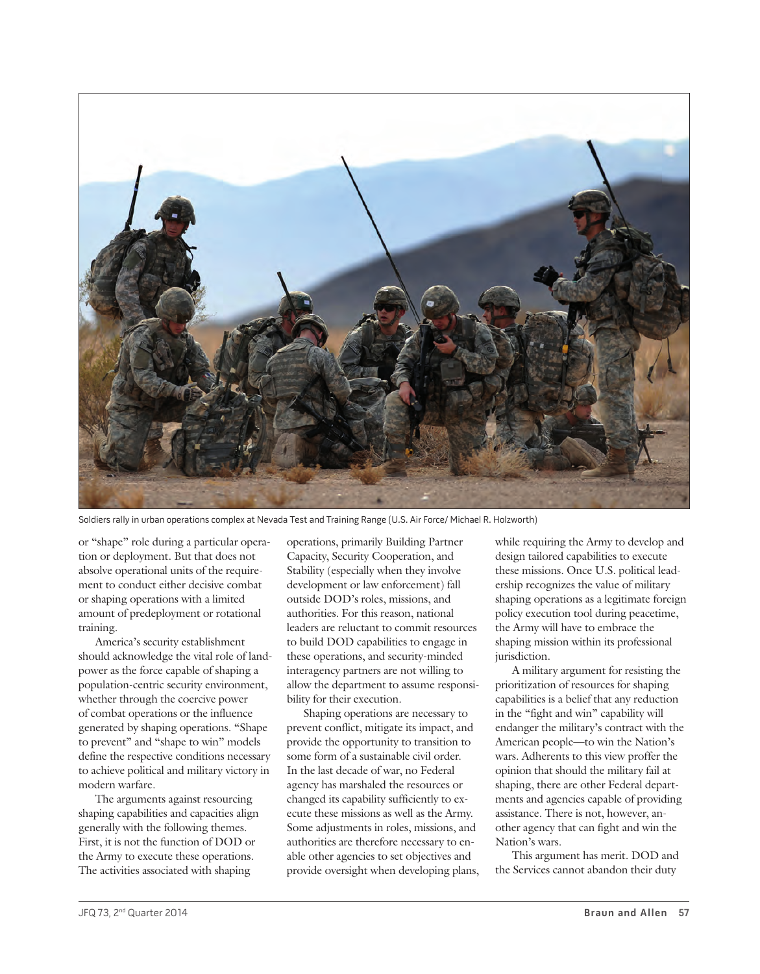

Soldiers rally in urban operations complex at Nevada Test and Training Range (U.S. Air Force/ Michael R. Holzworth)

or "shape" role during a particular operation or deployment. But that does not absolve operational units of the requirement to conduct either decisive combat or shaping operations with a limited amount of predeployment or rotational training.

America's security establishment should acknowledge the vital role of landpower as the force capable of shaping a population-centric security environment, whether through the coercive power of combat operations or the influence generated by shaping operations. "Shape to prevent" and "shape to win" models define the respective conditions necessary to achieve political and military victory in modern warfare.

The arguments against resourcing shaping capabilities and capacities align generally with the following themes. First, it is not the function of DOD or the Army to execute these operations. The activities associated with shaping

operations, primarily Building Partner Capacity, Security Cooperation, and Stability (especially when they involve development or law enforcement) fall outside DOD's roles, missions, and authorities. For this reason, national leaders are reluctant to commit resources to build DOD capabilities to engage in these operations, and security-minded interagency partners are not willing to allow the department to assume responsibility for their execution.

Shaping operations are necessary to prevent conflict, mitigate its impact, and provide the opportunity to transition to some form of a sustainable civil order. In the last decade of war, no Federal agency has marshaled the resources or changed its capability sufficiently to execute these missions as well as the Army. Some adjustments in roles, missions, and authorities are therefore necessary to enable other agencies to set objectives and provide oversight when developing plans,

while requiring the Army to develop and design tailored capabilities to execute these missions. Once U.S. political leadership recognizes the value of military shaping operations as a legitimate foreign policy execution tool during peacetime, the Army will have to embrace the shaping mission within its professional jurisdiction.

A military argument for resisting the prioritization of resources for shaping capabilities is a belief that any reduction in the "fight and win" capability will endanger the military's contract with the American people—to win the Nation's wars. Adherents to this view proffer the opinion that should the military fail at shaping, there are other Federal departments and agencies capable of providing assistance. There is not, however, another agency that can fight and win the Nation's wars.

This argument has merit. DOD and the Services cannot abandon their duty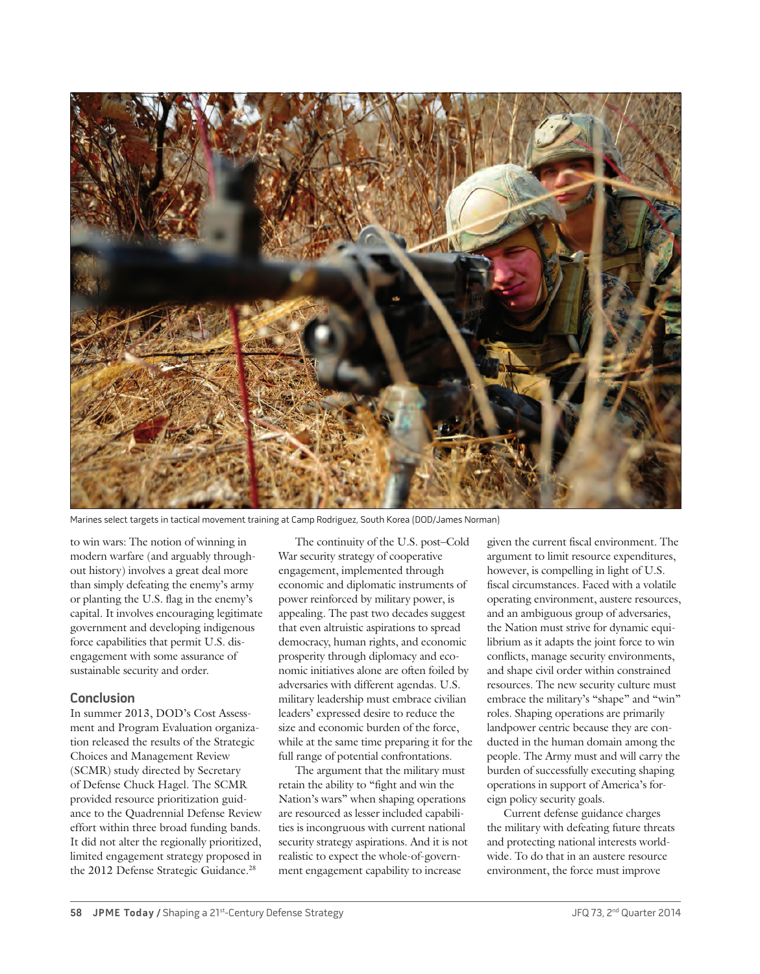

Marines select targets in tactical movement training at Camp Rodriguez, South Korea (DOD/James Norman)

to win wars: The notion of winning in modern warfare (and arguably throughout history) involves a great deal more than simply defeating the enemy's army or planting the U.S. flag in the enemy's capital. It involves encouraging legitimate government and developing indigenous force capabilities that permit U.S. disengagement with some assurance of sustainable security and order.

#### **Conclusion**

In summer 2013, DOD's Cost Assessment and Program Evaluation organization released the results of the Strategic Choices and Management Review (SCMR) study directed by Secretary of Defense Chuck Hagel. The SCMR provided resource prioritization guidance to the Quadrennial Defense Review effort within three broad funding bands. It did not alter the regionally prioritized, limited engagement strategy proposed in the 2012 Defense Strategic Guidance.<sup>28</sup>

The continuity of the U.S. post–Cold War security strategy of cooperative engagement, implemented through economic and diplomatic instruments of power reinforced by military power, is appealing. The past two decades suggest that even altruistic aspirations to spread democracy, human rights, and economic prosperity through diplomacy and economic initiatives alone are often foiled by adversaries with different agendas. U.S. military leadership must embrace civilian leaders' expressed desire to reduce the size and economic burden of the force, while at the same time preparing it for the full range of potential confrontations.

The argument that the military must retain the ability to "fight and win the Nation's wars" when shaping operations are resourced as lesser included capabilities is incongruous with current national security strategy aspirations. And it is not realistic to expect the whole-of-government engagement capability to increase

given the current fiscal environment. The argument to limit resource expenditures, however, is compelling in light of U.S. fiscal circumstances. Faced with a volatile operating environment, austere resources, and an ambiguous group of adversaries, the Nation must strive for dynamic equilibrium as it adapts the joint force to win conflicts, manage security environments, and shape civil order within constrained resources. The new security culture must embrace the military's "shape" and "win" roles. Shaping operations are primarily landpower centric because they are conducted in the human domain among the people. The Army must and will carry the burden of successfully executing shaping operations in support of America's foreign policy security goals.

Current defense guidance charges the military with defeating future threats and protecting national interests worldwide. To do that in an austere resource environment, the force must improve